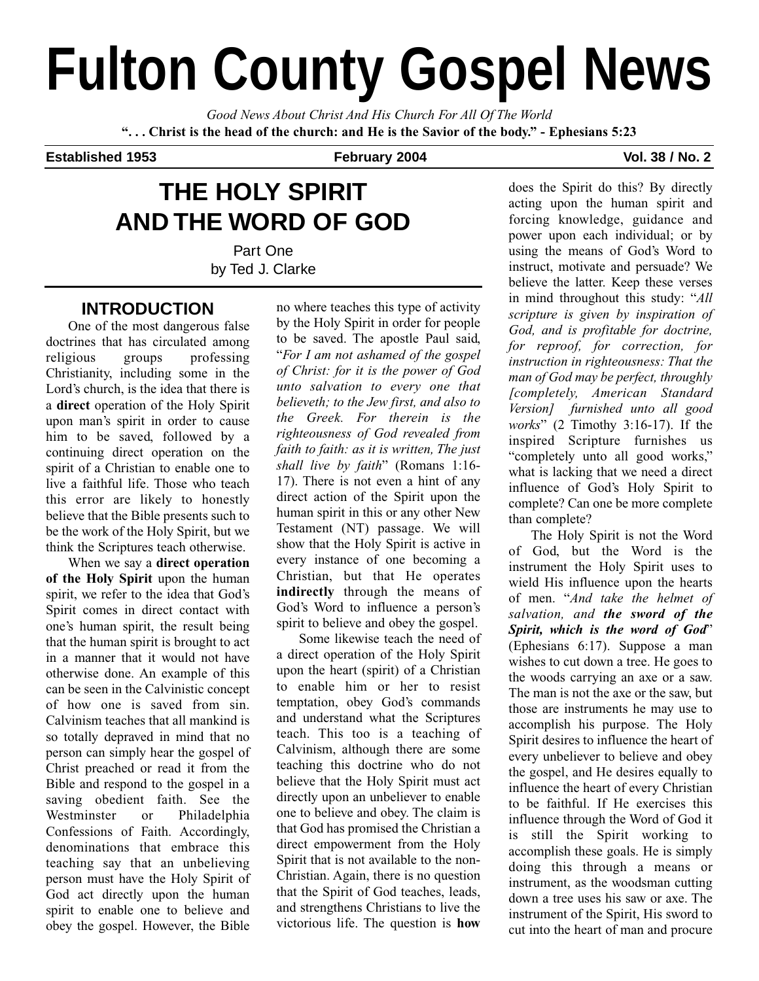# **Fulton County Gospel News**

*Good News About Christ And His Church For All Of The World* **". . . Christ is the head of the church: and He is the Savior of the body." - Ephesians 5:23**

### **Established 1953 February 2004 Vol. 38 / No. 2**

# **THE HOLY SPIRIT AND THE WORD OF GOD**

Part One by Ted J. Clarke

## **INTRODUCTION**

One of the most dangerous false doctrines that has circulated among religious groups professing Christianity, including some in the Lord's church, is the idea that there is a **direct** operation of the Holy Spirit upon man's spirit in order to cause him to be saved, followed by a continuing direct operation on the spirit of a Christian to enable one to live a faithful life. Those who teach this error are likely to honestly believe that the Bible presents such to be the work of the Holy Spirit, but we think the Scriptures teach otherwise.

When we say a **direct operation of the Holy Spirit** upon the human spirit, we refer to the idea that God's Spirit comes in direct contact with one's human spirit, the result being that the human spirit is brought to act in a manner that it would not have otherwise done. An example of this can be seen in the Calvinistic concept of how one is saved from sin. Calvinism teaches that all mankind is so totally depraved in mind that no person can simply hear the gospel of Christ preached or read it from the Bible and respond to the gospel in a saving obedient faith. See the Westminster or Philadelphia Confessions of Faith. Accordingly, denominations that embrace this teaching say that an unbelieving person must have the Holy Spirit of God act directly upon the human spirit to enable one to believe and obey the gospel. However, the Bible

no where teaches this type of activity by the Holy Spirit in order for people to be saved. The apostle Paul said, "*For I am not ashamed of the gospel of Christ: for it is the power of God unto salvation to every one that believeth; to the Jew first, and also to the Greek. For therein is the righteousness of God revealed from faith to faith: as it is written, The just shall live by faith*" (Romans 1:16- 17). There is not even a hint of any direct action of the Spirit upon the human spirit in this or any other New Testament (NT) passage. We will show that the Holy Spirit is active in every instance of one becoming a Christian, but that He operates **indirectly** through the means of God's Word to influence a person's spirit to believe and obey the gospel.

Some likewise teach the need of a direct operation of the Holy Spirit upon the heart (spirit) of a Christian to enable him or her to resist temptation, obey God's commands and understand what the Scriptures teach. This too is a teaching of Calvinism, although there are some teaching this doctrine who do not believe that the Holy Spirit must act directly upon an unbeliever to enable one to believe and obey. The claim is that God has promised the Christian a direct empowerment from the Holy Spirit that is not available to the non-Christian. Again, there is no question that the Spirit of God teaches, leads, and strengthens Christians to live the victorious life. The question is **how**

does the Spirit do this? By directly acting upon the human spirit and forcing knowledge, guidance and power upon each individual; or by using the means of God's Word to instruct, motivate and persuade? We believe the latter. Keep these verses in mind throughout this study: "*All scripture is given by inspiration of God, and is profitable for doctrine, for reproof, for correction, for instruction in righteousness: That the man of God may be perfect, throughly [completely, American Standard Version] furnished unto all good works*" (2 Timothy 3:16-17). If the inspired Scripture furnishes us "completely unto all good works," what is lacking that we need a direct influence of God's Holy Spirit to complete? Can one be more complete than complete?

The Holy Spirit is not the Word of God, but the Word is the instrument the Holy Spirit uses to wield His influence upon the hearts of men. "*And take the helmet of salvation, and the sword of the Spirit, which is the word of God*" (Ephesians 6:17). Suppose a man wishes to cut down a tree. He goes to the woods carrying an axe or a saw. The man is not the axe or the saw, but those are instruments he may use to accomplish his purpose. The Holy Spirit desires to influence the heart of every unbeliever to believe and obey the gospel, and He desires equally to influence the heart of every Christian to be faithful. If He exercises this influence through the Word of God it is still the Spirit working to accomplish these goals. He is simply doing this through a means or instrument, as the woodsman cutting down a tree uses his saw or axe. The instrument of the Spirit, His sword to cut into the heart of man and procure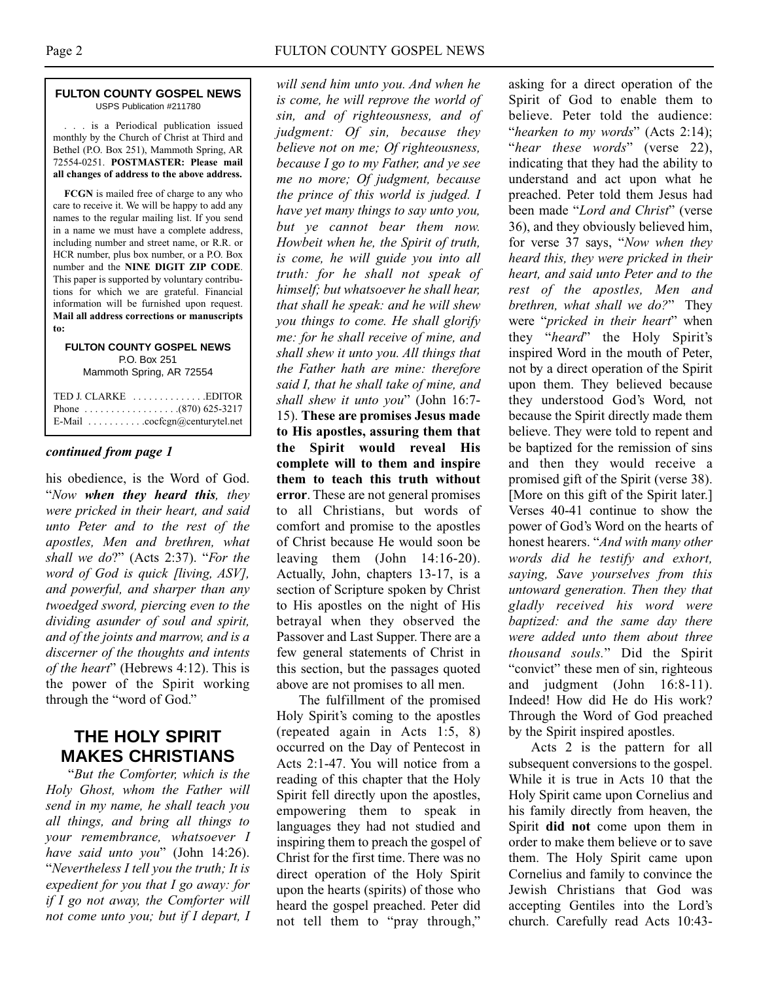#### **FULTON COUNTY GOSPEL NEWS** USPS Publication #211780

. . . is a Periodical publication issued monthly by the Church of Christ at Third and Bethel (P.O. Box 251), Mammoth Spring, AR 72554-0251. **POSTMASTER: Please mail all changes of address to the above address.**

**FCGN** is mailed free of charge to any who care to receive it. We will be happy to add any names to the regular mailing list. If you send in a name we must have a complete address, including number and street name, or R.R. or HCR number, plus box number, or a P.O. Box number and the **NINE DIGIT ZIP CODE**. This paper is supported by voluntary contributions for which we are grateful. Financial information will be furnished upon request. **Mail all address corrections or manuscripts to:**

**FULTON COUNTY GOSPEL NEWS** P.O. Box 251 Mammoth Spring, AR 72554

| E-Mail $\ldots \ldots \ldots \ldots$ cocfcgn@centurytel.net |
|-------------------------------------------------------------|

#### *continued from page 1*

his obedience, is the Word of God. "*Now when they heard this, they were pricked in their heart, and said unto Peter and to the rest of the apostles, Men and brethren, what shall we do*?" (Acts 2:37). "*For the word of God is quick [living, ASV], and powerful, and sharper than any twoedged sword, piercing even to the dividing asunder of soul and spirit, and of the joints and marrow, and is a discerner of the thoughts and intents of the heart*" (Hebrews 4:12). This is the power of the Spirit working through the "word of God."

## **THE HOLY SPIRIT MAKES CHRISTIANS**

"*But the Comforter, which is the Holy Ghost, whom the Father will send in my name, he shall teach you all things, and bring all things to your remembrance, whatsoever I have said unto you*" (John 14:26). "*Nevertheless I tell you the truth; It is expedient for you that I go away: for if I go not away, the Comforter will not come unto you; but if I depart, I*

*will send him unto you. And when he is come, he will reprove the world of sin, and of righteousness, and of judgment: Of sin, because they believe not on me; Of righteousness, because I go to my Father, and ye see me no more; Of judgment, because the prince of this world is judged. I have yet many things to say unto you, but ye cannot bear them now. Howbeit when he, the Spirit of truth, is come, he will guide you into all truth: for he shall not speak of himself; but whatsoever he shall hear, that shall he speak: and he will shew you things to come. He shall glorify me: for he shall receive of mine, and shall shew it unto you. All things that the Father hath are mine: therefore said I, that he shall take of mine, and shall shew it unto you*" (John 16:7- 15). **These are promises Jesus made to His apostles, assuring them that the Spirit would reveal His complete will to them and inspire them to teach this truth without error**. These are not general promises to all Christians, but words of comfort and promise to the apostles of Christ because He would soon be leaving them (John 14:16-20). Actually, John, chapters 13-17, is a section of Scripture spoken by Christ to His apostles on the night of His betrayal when they observed the Passover and Last Supper. There are a few general statements of Christ in this section, but the passages quoted above are not promises to all men.

The fulfillment of the promised Holy Spirit's coming to the apostles (repeated again in Acts 1:5, 8) occurred on the Day of Pentecost in Acts 2:1-47. You will notice from a reading of this chapter that the Holy Spirit fell directly upon the apostles, empowering them to speak in languages they had not studied and inspiring them to preach the gospel of Christ for the first time. There was no direct operation of the Holy Spirit upon the hearts (spirits) of those who heard the gospel preached. Peter did not tell them to "pray through,"

asking for a direct operation of the Spirit of God to enable them to believe. Peter told the audience: "*hearken to my words*" (Acts 2:14); "*hear these words*" (verse 22), indicating that they had the ability to understand and act upon what he preached. Peter told them Jesus had been made "*Lord and Christ*" (verse 36), and they obviously believed him, for verse 37 says, "*Now when they heard this, they were pricked in their heart, and said unto Peter and to the rest of the apostles, Men and brethren, what shall we do?*" They were "*pricked in their heart*" when they "*heard*" the Holy Spirit's inspired Word in the mouth of Peter, not by a direct operation of the Spirit upon them. They believed because they understood God's Word, not because the Spirit directly made them believe. They were told to repent and be baptized for the remission of sins and then they would receive a promised gift of the Spirit (verse 38). [More on this gift of the Spirit later.] Verses 40-41 continue to show the power of God's Word on the hearts of honest hearers. "*And with many other words did he testify and exhort, saying, Save yourselves from this untoward generation. Then they that gladly received his word were baptized: and the same day there were added unto them about three thousand souls.*" Did the Spirit "convict" these men of sin, righteous and judgment (John 16:8-11). Indeed! How did He do His work? Through the Word of God preached by the Spirit inspired apostles.

Acts 2 is the pattern for all subsequent conversions to the gospel. While it is true in Acts 10 that the Holy Spirit came upon Cornelius and his family directly from heaven, the Spirit **did not** come upon them in order to make them believe or to save them. The Holy Spirit came upon Cornelius and family to convince the Jewish Christians that God was accepting Gentiles into the Lord's church. Carefully read Acts 10:43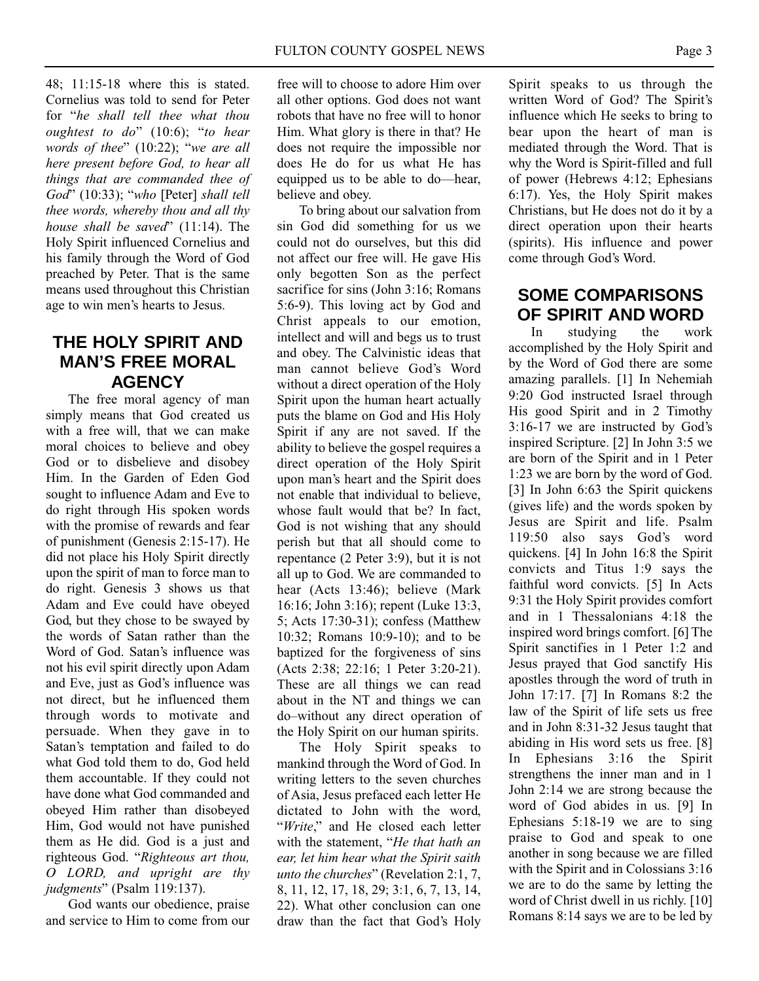48; 11:15-18 where this is stated. Cornelius was told to send for Peter for "*he shall tell thee what thou oughtest to do*" (10:6); "*to hear words of thee*" (10:22); "*we are all here present before God, to hear all things that are commanded thee of God*" (10:33); "*who* [Peter] *shall tell thee words, whereby thou and all thy house shall be saved*" (11:14). The Holy Spirit influenced Cornelius and his family through the Word of God preached by Peter. That is the same means used throughout this Christian age to win men's hearts to Jesus.

## **THE HOLY SPIRIT AND MAN'S FREE MORAL AGENCY**

The free moral agency of man simply means that God created us with a free will, that we can make moral choices to believe and obey God or to disbelieve and disobey Him. In the Garden of Eden God sought to influence Adam and Eve to do right through His spoken words with the promise of rewards and fear of punishment (Genesis 2:15-17). He did not place his Holy Spirit directly upon the spirit of man to force man to do right. Genesis 3 shows us that Adam and Eve could have obeyed God, but they chose to be swayed by the words of Satan rather than the Word of God. Satan's influence was not his evil spirit directly upon Adam and Eve, just as God's influence was not direct, but he influenced them through words to motivate and persuade. When they gave in to Satan's temptation and failed to do what God told them to do, God held them accountable. If they could not have done what God commanded and obeyed Him rather than disobeyed Him, God would not have punished them as He did. God is a just and righteous God. "*Righteous art thou, O LORD, and upright are thy judgments*" (Psalm 119:137).

God wants our obedience, praise and service to Him to come from our

free will to choose to adore Him over all other options. God does not want robots that have no free will to honor Him. What glory is there in that? He does not require the impossible nor does He do for us what He has equipped us to be able to do—hear, believe and obey.

To bring about our salvation from sin God did something for us we could not do ourselves, but this did not affect our free will. He gave His only begotten Son as the perfect sacrifice for sins (John 3:16; Romans 5:6-9). This loving act by God and Christ appeals to our emotion, intellect and will and begs us to trust and obey. The Calvinistic ideas that man cannot believe God's Word without a direct operation of the Holy Spirit upon the human heart actually puts the blame on God and His Holy Spirit if any are not saved. If the ability to believe the gospel requires a direct operation of the Holy Spirit upon man's heart and the Spirit does not enable that individual to believe, whose fault would that be? In fact, God is not wishing that any should perish but that all should come to repentance (2 Peter 3:9), but it is not all up to God. We are commanded to hear (Acts 13:46); believe (Mark 16:16; John 3:16); repent (Luke 13:3, 5; Acts 17:30-31); confess (Matthew 10:32; Romans 10:9-10); and to be baptized for the forgiveness of sins (Acts 2:38; 22:16; 1 Peter 3:20-21). These are all things we can read about in the NT and things we can do–without any direct operation of the Holy Spirit on our human spirits.

The Holy Spirit speaks to mankind through the Word of God. In writing letters to the seven churches of Asia, Jesus prefaced each letter He dictated to John with the word, "*Write*," and He closed each letter with the statement, "*He that hath an ear, let him hear what the Spirit saith unto the churches*" (Revelation 2:1, 7, 8, 11, 12, 17, 18, 29; 3:1, 6, 7, 13, 14, 22). What other conclusion can one draw than the fact that God's Holy

Spirit speaks to us through the written Word of God? The Spirit's influence which He seeks to bring to bear upon the heart of man is mediated through the Word. That is why the Word is Spirit-filled and full of power (Hebrews 4:12; Ephesians 6:17). Yes, the Holy Spirit makes Christians, but He does not do it by a direct operation upon their hearts (spirits). His influence and power come through God's Word.

## **SOME COMPARISONS OF SPIRIT AND WORD**

In studying the work accomplished by the Holy Spirit and by the Word of God there are some amazing parallels. [1] In Nehemiah 9:20 God instructed Israel through His good Spirit and in 2 Timothy 3:16-17 we are instructed by God's inspired Scripture. [2] In John 3:5 we are born of the Spirit and in 1 Peter 1:23 we are born by the word of God. [3] In John 6:63 the Spirit quickens (gives life) and the words spoken by Jesus are Spirit and life. Psalm 119:50 also says God's word quickens. [4] In John 16:8 the Spirit convicts and Titus 1:9 says the faithful word convicts. [5] In Acts 9:31 the Holy Spirit provides comfort and in 1 Thessalonians 4:18 the inspired word brings comfort. [6] The Spirit sanctifies in 1 Peter 1:2 and Jesus prayed that God sanctify His apostles through the word of truth in John 17:17. [7] In Romans 8:2 the law of the Spirit of life sets us free and in John 8:31-32 Jesus taught that abiding in His word sets us free. [8] In Ephesians 3:16 the Spirit strengthens the inner man and in 1 John 2:14 we are strong because the word of God abides in us. [9] In Ephesians 5:18-19 we are to sing praise to God and speak to one another in song because we are filled with the Spirit and in Colossians 3:16 we are to do the same by letting the word of Christ dwell in us richly. [10] Romans 8:14 says we are to be led by